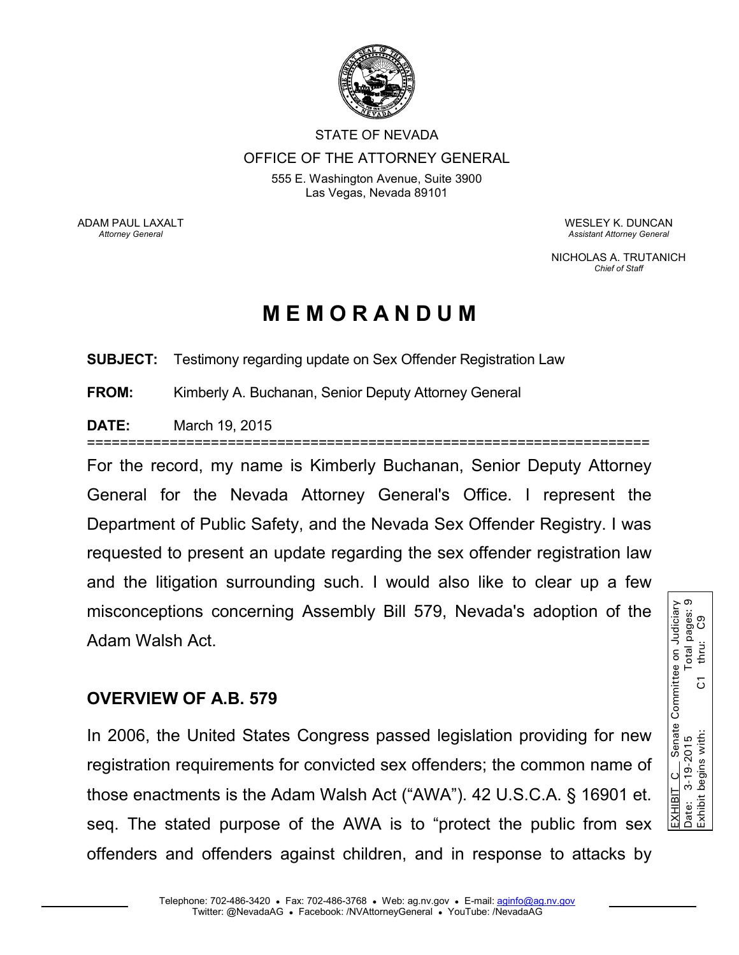

## STATE OF NEVADA OFFICE OF THE ATTORNEY GENERAL

555 E. Washington Avenue, Suite 3900 Las Vegas, Nevada 89101

ADAM PAUL LAXALT *Attorney General* 

WESLEY K. DUNCAN *Assistant Attorney General* 

NICHOLAS A. TRUTANICH *Chief of Staff* 

# **M E M O R A N D U M**

**SUBJECT:** Testimony regarding update on Sex Offender Registration Law

**FROM:** Kimberly A. Buchanan, Senior Deputy Attorney General

**DATE:** March 19, 2015

====================================================================

For the record, my name is Kimberly Buchanan, Senior Deputy Attorney General for the Nevada Attorney General's Office. I represent the Department of Public Safety, and the Nevada Sex Offender Registry. I was requested to present an update regarding the sex offender registration law and the litigation surrounding such. I would also like to clear up a few Adam Walsh Act.

### **OVERVIEW OF A.B. 579**

misconceptions concerning Assembly Bill 579, Nevada's adoption of the <br>
Adam Walsh Act.<br> **OVERVIEW OF A.B. 579**<br>
In 2006, the United States Congress passed legislation providing for new registration requirements for convi In 2006, the United States Congress passed legislation providing for new registration requirements for convicted sex offenders; the common name of those enactments is the Adam Walsh Act ("AWA"). 42 U.S.C.A. § 16901 et. seq. The stated purpose of the AWA is to "protect the public from sex offenders and offenders against children, and in response to attacks by

Date: 3-19-2015 Total pages: 9 EXHIBIT C Senate Committee on Judiciary Total pages:<br>thru: C9 Exhibit begins with: C1 thru: C9 $\overline{C}$ EXHIBIT C Senate<br>Date: 3-19-2015<br>Exhibit begins with: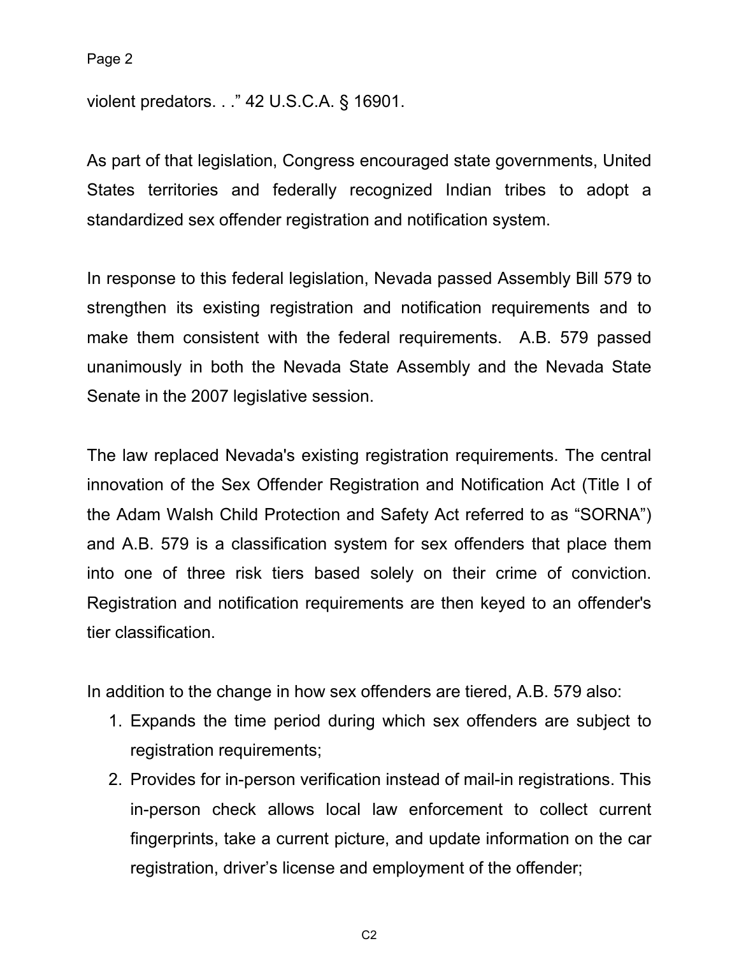violent predators. . ." 42 U.S.C.A. § 16901.

As part of that legislation, Congress encouraged state governments, United States territories and federally recognized Indian tribes to adopt a standardized sex offender registration and notification system.

In response to this federal legislation, Nevada passed Assembly Bill 579 to strengthen its existing registration and notification requirements and to make them consistent with the federal requirements. A.B. 579 passed unanimously in both the Nevada State Assembly and the Nevada State Senate in the 2007 legislative session.

The law replaced Nevada's existing registration requirements. The central innovation of the Sex Offender Registration and Notification Act (Title I of the Adam Walsh Child Protection and Safety Act referred to as "SORNA") and A.B. 579 is a classification system for sex offenders that place them into one of three risk tiers based solely on their crime of conviction. Registration and notification requirements are then keyed to an offender's tier classification.

In addition to the change in how sex offenders are tiered, A.B. 579 also:

- 1. Expands the time period during which sex offenders are subject to registration requirements;
- 2. Provides for in-person verification instead of mail-in registrations. This in-person check allows local law enforcement to collect current fingerprints, take a current picture, and update information on the car registration, driver's license and employment of the offender;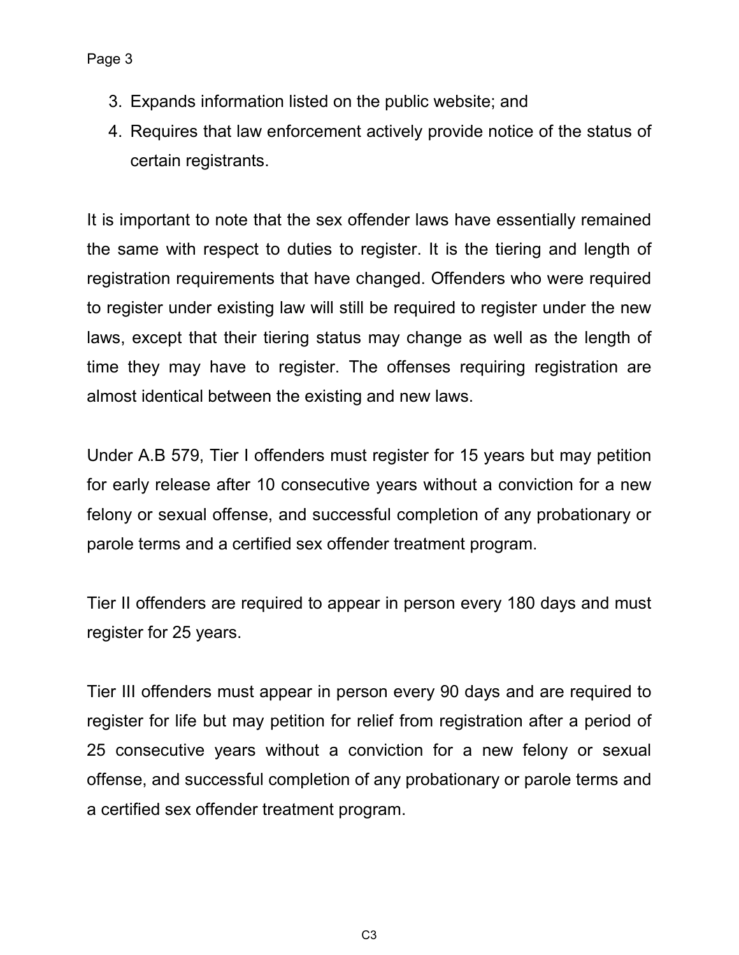- 3. Expands information listed on the public website; and
- 4. Requires that law enforcement actively provide notice of the status of certain registrants.

It is important to note that the sex offender laws have essentially remained the same with respect to duties to register. It is the tiering and length of registration requirements that have changed. Offenders who were required to register under existing law will still be required to register under the new laws, except that their tiering status may change as well as the length of time they may have to register. The offenses requiring registration are almost identical between the existing and new laws.

Under A.B 579, Tier I offenders must register for 15 years but may petition for early release after 10 consecutive years without a conviction for a new felony or sexual offense, and successful completion of any probationary or parole terms and a certified sex offender treatment program.

Tier II offenders are required to appear in person every 180 days and must register for 25 years.

Tier III offenders must appear in person every 90 days and are required to register for life but may petition for relief from registration after a period of 25 consecutive years without a conviction for a new felony or sexual offense, and successful completion of any probationary or parole terms and a certified sex offender treatment program.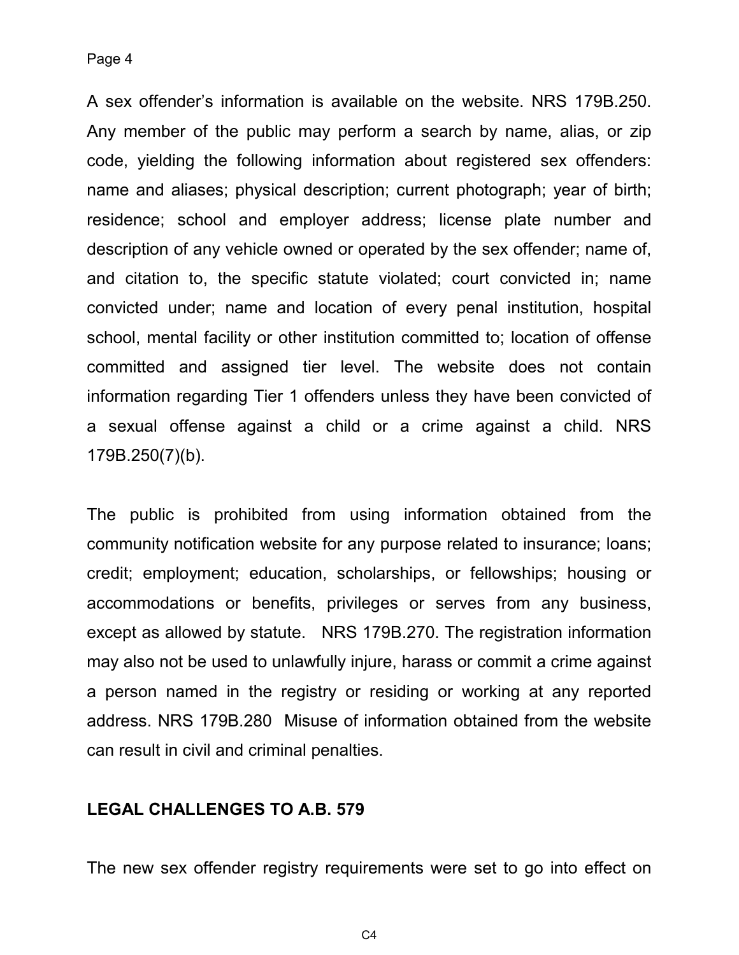A sex offender's information is available on the website. NRS 179B.250. Any member of the public may perform a search by name, alias, or zip code, yielding the following information about registered sex offenders: name and aliases; physical description; current photograph; year of birth; residence; school and employer address; license plate number and description of any vehicle owned or operated by the sex offender; name of, and citation to, the specific statute violated; court convicted in; name convicted under; name and location of every penal institution, hospital school, mental facility or other institution committed to; location of offense committed and assigned tier level. The website does not contain information regarding Tier 1 offenders unless they have been convicted of a sexual offense against a child or a crime against a child. NRS 179B.250(7)(b).

The public is prohibited from using information obtained from the community notification website for any purpose related to insurance; loans; credit; employment; education, scholarships, or fellowships; housing or accommodations or benefits, privileges or serves from any business, except as allowed by statute. NRS 179B.270. The registration information may also not be used to unlawfully injure, harass or commit a crime against a person named in the registry or residing or working at any reported address. NRS 179B.280 Misuse of information obtained from the website can result in civil and criminal penalties.

#### **LEGAL CHALLENGES TO A.B. 579**

The new sex offender registry requirements were set to go into effect on

 $C<sub>4</sub>$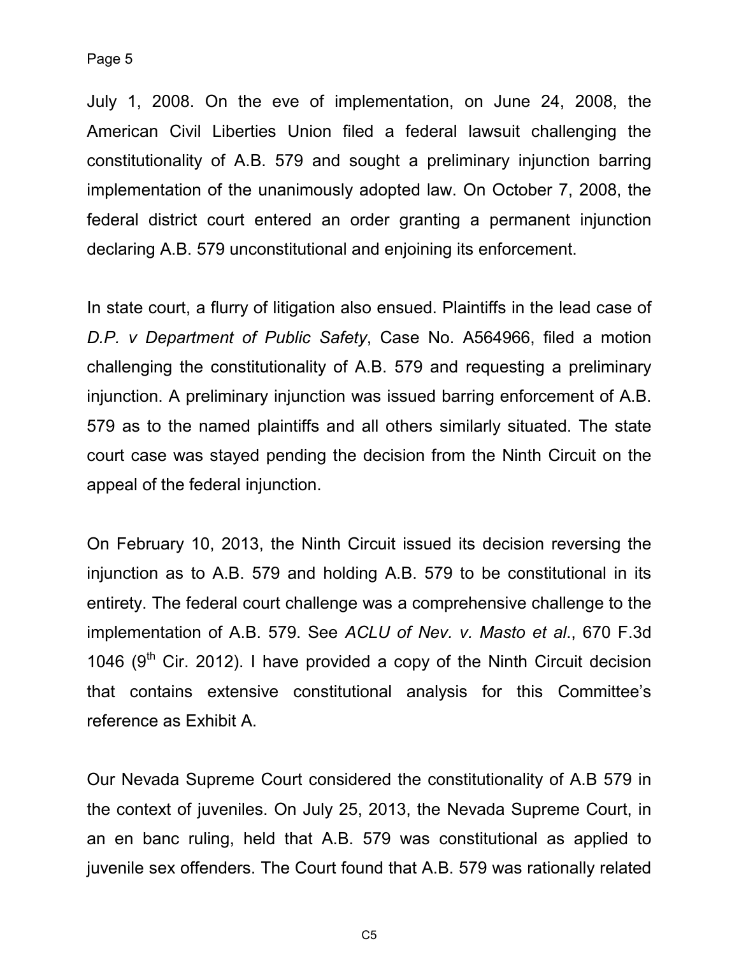July 1, 2008. On the eve of implementation, on June 24, 2008, the American Civil Liberties Union filed a federal lawsuit challenging the constitutionality of A.B. 579 and sought a preliminary injunction barring implementation of the unanimously adopted law. On October 7, 2008, the federal district court entered an order granting a permanent injunction declaring A.B. 579 unconstitutional and enjoining its enforcement.

In state court, a flurry of litigation also ensued. Plaintiffs in the lead case of *D.P. v Department of Public Safety*, Case No. A564966, filed a motion challenging the constitutionality of A.B. 579 and requesting a preliminary injunction. A preliminary injunction was issued barring enforcement of A.B. 579 as to the named plaintiffs and all others similarly situated. The state court case was stayed pending the decision from the Ninth Circuit on the appeal of the federal injunction.

On February 10, 2013, the Ninth Circuit issued its decision reversing the injunction as to A.B. 579 and holding A.B. 579 to be constitutional in its entirety. The federal court challenge was a comprehensive challenge to the implementation of A.B. 579. See *ACLU of Nev. v. Masto et al*., 670 F.3d 1046 ( $9<sup>th</sup>$  Cir. 2012). I have provided a copy of the Ninth Circuit decision that contains extensive constitutional analysis for this Committee's reference as Exhibit A.

Our Nevada Supreme Court considered the constitutionality of A.B 579 in the context of juveniles. On July 25, 2013, the Nevada Supreme Court, in an en banc ruling, held that A.B. 579 was constitutional as applied to juvenile sex offenders. The Court found that A.B. 579 was rationally related

C5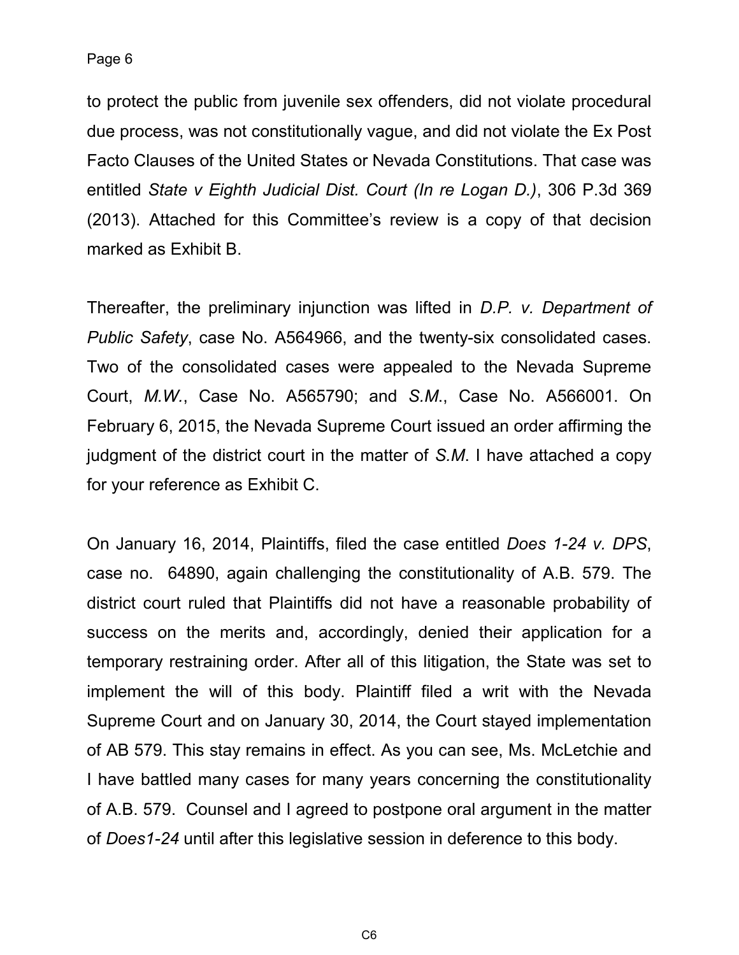to protect the public from juvenile sex offenders, did not violate procedural due process, was not constitutionally vague, and did not violate the Ex Post Facto Clauses of the United States or Nevada Constitutions. That case was entitled *State v Eighth Judicial Dist. Court (In re Logan D.)*, 306 P.3d 369 (2013). Attached for this Committee's review is a copy of that decision marked as Exhibit B.

Thereafter, the preliminary injunction was lifted in *D.P. v. Department of Public Safety*, case No. A564966, and the twenty-six consolidated cases. Two of the consolidated cases were appealed to the Nevada Supreme Court, *M.W.*, Case No. A565790; and *S.M*., Case No. A566001. On February 6, 2015, the Nevada Supreme Court issued an order affirming the judgment of the district court in the matter of *S.M*. I have attached a copy for your reference as Exhibit C.

On January 16, 2014, Plaintiffs, filed the case entitled *Does 1-24 v. DPS*, case no. 64890, again challenging the constitutionality of A.B. 579. The district court ruled that Plaintiffs did not have a reasonable probability of success on the merits and, accordingly, denied their application for a temporary restraining order. After all of this litigation, the State was set to implement the will of this body. Plaintiff filed a writ with the Nevada Supreme Court and on January 30, 2014, the Court stayed implementation of AB 579. This stay remains in effect. As you can see, Ms. McLetchie and I have battled many cases for many years concerning the constitutionality of A.B. 579. Counsel and I agreed to postpone oral argument in the matter of *Does1-24* until after this legislative session in deference to this body.

C6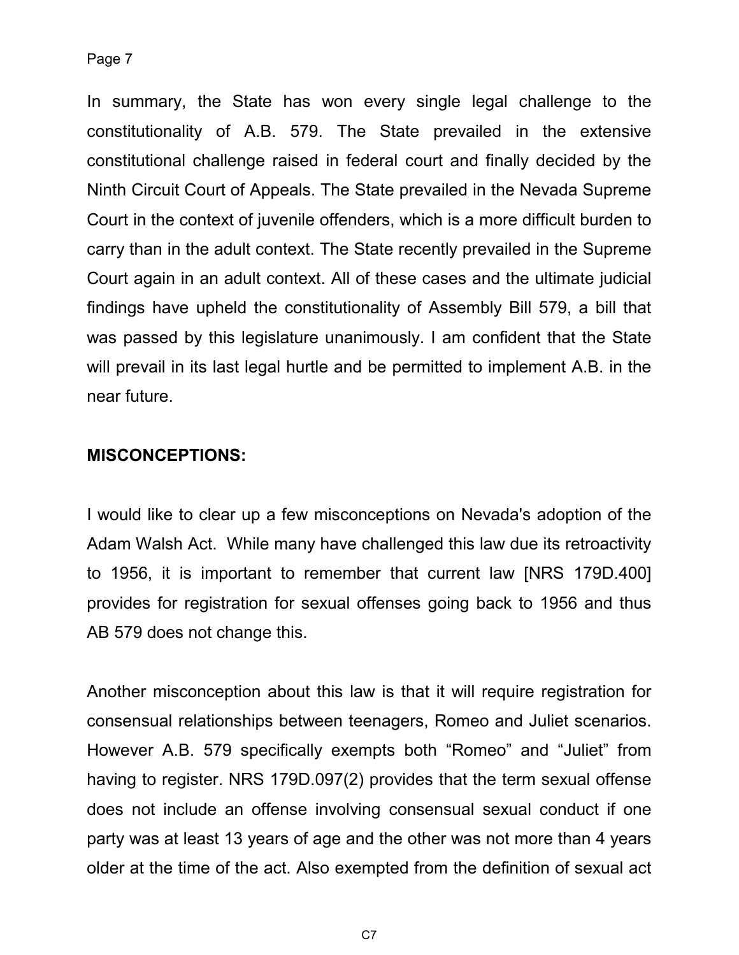In summary, the State has won every single legal challenge to the constitutionality of A.B. 579. The State prevailed in the extensive constitutional challenge raised in federal court and finally decided by the Ninth Circuit Court of Appeals. The State prevailed in the Nevada Supreme Court in the context of juvenile offenders, which is a more difficult burden to carry than in the adult context. The State recently prevailed in the Supreme Court again in an adult context. All of these cases and the ultimate judicial findings have upheld the constitutionality of Assembly Bill 579, a bill that was passed by this legislature unanimously. I am confident that the State will prevail in its last legal hurtle and be permitted to implement A.B. in the near future.

#### **MISCONCEPTIONS:**

I would like to clear up a few misconceptions on Nevada's adoption of the Adam Walsh Act. While many have challenged this law due its retroactivity to 1956, it is important to remember that current law [NRS 179D.400] provides for registration for sexual offenses going back to 1956 and thus AB 579 does not change this.

Another misconception about this law is that it will require registration for consensual relationships between teenagers, Romeo and Juliet scenarios. However A.B. 579 specifically exempts both "Romeo" and "Juliet" from having to register. NRS 179D.097(2) provides that the term sexual offense does not include an offense involving consensual sexual conduct if one party was at least 13 years of age and the other was not more than 4 years older at the time of the act. Also exempted from the definition of sexual act

C7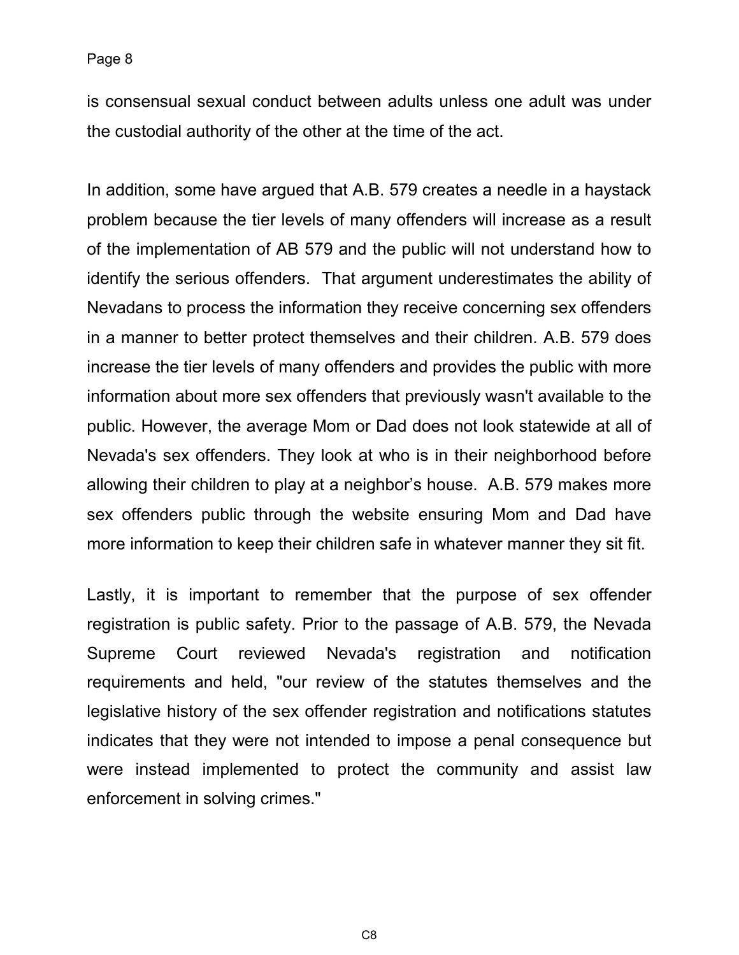is consensual sexual conduct between adults unless one adult was under the custodial authority of the other at the time of the act.

In addition, some have argued that A.B. 579 creates a needle in a haystack problem because the tier levels of many offenders will increase as a result of the implementation of AB 579 and the public will not understand how to identify the serious offenders. That argument underestimates the ability of Nevadans to process the information they receive concerning sex offenders in a manner to better protect themselves and their children. A.B. 579 does increase the tier levels of many offenders and provides the public with more information about more sex offenders that previously wasn't available to the public. However, the average Mom or Dad does not look statewide at all of Nevada's sex offenders. They look at who is in their neighborhood before allowing their children to play at a neighbor's house. A.B. 579 makes more sex offenders public through the website ensuring Mom and Dad have more information to keep their children safe in whatever manner they sit fit.

Lastly, it is important to remember that the purpose of sex offender registration is public safety. Prior to the passage of A.B. 579, the Nevada Supreme Court reviewed Nevada's registration and notification requirements and held, "our review of the statutes themselves and the legislative history of the sex offender registration and notifications statutes indicates that they were not intended to impose a penal consequence but were instead implemented to protect the community and assist law enforcement in solving crimes."